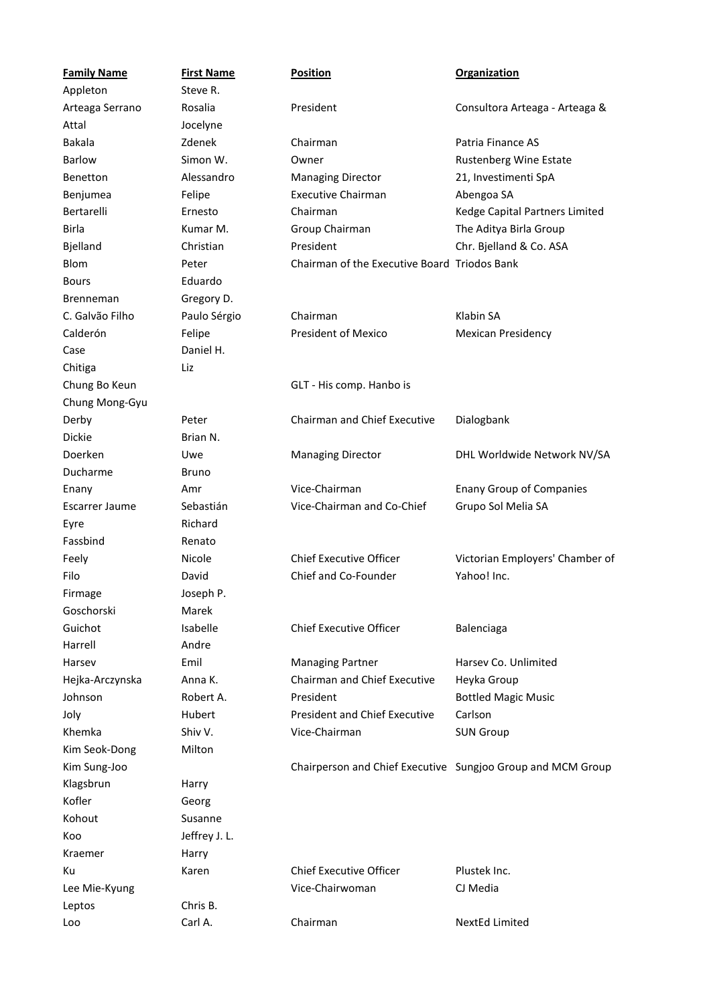| <b>Family Name</b> | <b>First Name</b> | <b>Position</b>                              | <b>Organization</b>                                         |
|--------------------|-------------------|----------------------------------------------|-------------------------------------------------------------|
| Appleton           | Steve R.          |                                              |                                                             |
| Arteaga Serrano    | Rosalia           | President                                    | Consultora Arteaga - Arteaga &                              |
| Attal              | Jocelyne          |                                              |                                                             |
| <b>Bakala</b>      | Zdenek            | Chairman                                     | Patria Finance AS                                           |
| Barlow             | Simon W.          | Owner                                        | Rustenberg Wine Estate                                      |
| Benetton           | Alessandro        | <b>Managing Director</b>                     | 21, Investimenti SpA                                        |
| Benjumea           | Felipe            | <b>Executive Chairman</b>                    | Abengoa SA                                                  |
| Bertarelli         | Ernesto           | Chairman                                     | Kedge Capital Partners Limited                              |
| Birla              | Kumar M.          | Group Chairman                               | The Aditya Birla Group                                      |
| Bjelland           | Christian         | President                                    | Chr. Bjelland & Co. ASA                                     |
| <b>Blom</b>        | Peter             | Chairman of the Executive Board Triodos Bank |                                                             |
| <b>Bours</b>       | Eduardo           |                                              |                                                             |
| <b>Brenneman</b>   | Gregory D.        |                                              |                                                             |
| C. Galvão Filho    | Paulo Sérgio      | Chairman                                     | Klabin SA                                                   |
| Calderón           | Felipe            | <b>President of Mexico</b>                   | <b>Mexican Presidency</b>                                   |
| Case               | Daniel H.         |                                              |                                                             |
| Chitiga            | Liz               |                                              |                                                             |
| Chung Bo Keun      |                   | GLT - His comp. Hanbo is                     |                                                             |
| Chung Mong-Gyu     |                   |                                              |                                                             |
| Derby              | Peter             | <b>Chairman and Chief Executive</b>          | Dialogbank                                                  |
| Dickie             | Brian N.          |                                              |                                                             |
| Doerken            | Uwe               | <b>Managing Director</b>                     | DHL Worldwide Network NV/SA                                 |
| Ducharme           | <b>Bruno</b>      |                                              |                                                             |
| Enany              | Amr               | Vice-Chairman                                | <b>Enany Group of Companies</b>                             |
| Escarrer Jaume     | Sebastián         | Vice-Chairman and Co-Chief                   | Grupo Sol Melia SA                                          |
| Eyre               | Richard           |                                              |                                                             |
| Fassbind           | Renato            |                                              |                                                             |
| Feely              | Nicole            | <b>Chief Executive Officer</b>               | Victorian Employers' Chamber of                             |
| Filo               | David             | Chief and Co-Founder                         | Yahoo! Inc.                                                 |
| Firmage            | Joseph P.         |                                              |                                                             |
| Goschorski         | Marek             |                                              |                                                             |
| Guichot            | Isabelle          | <b>Chief Executive Officer</b>               | Balenciaga                                                  |
| Harrell            | Andre             |                                              |                                                             |
| Harsev             | Emil              | <b>Managing Partner</b>                      | Harsev Co. Unlimited                                        |
| Hejka-Arczynska    | Anna K.           | Chairman and Chief Executive                 | Heyka Group                                                 |
| Johnson            | Robert A.         | President                                    | <b>Bottled Magic Music</b>                                  |
| Joly               | Hubert            | <b>President and Chief Executive</b>         | Carlson                                                     |
| Khemka             | Shiv V.           | Vice-Chairman                                | <b>SUN Group</b>                                            |
| Kim Seok-Dong      | Milton            |                                              |                                                             |
| Kim Sung-Joo       |                   |                                              | Chairperson and Chief Executive Sungjoo Group and MCM Group |
| Klagsbrun          | Harry             |                                              |                                                             |
| Kofler             | Georg             |                                              |                                                             |
| Kohout             | Susanne           |                                              |                                                             |
| Koo                | Jeffrey J.L.      |                                              |                                                             |
| Kraemer            | Harry             |                                              |                                                             |
| Кu                 | Karen             | <b>Chief Executive Officer</b>               | Plustek Inc.                                                |
| Lee Mie-Kyung      |                   | Vice-Chairwoman                              | CJ Media                                                    |
| Leptos             | Chris B.          |                                              |                                                             |
| Loo                | Carl A.           | Chairman                                     | NextEd Limited                                              |